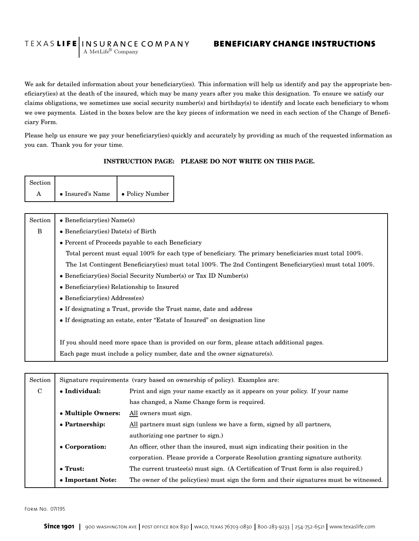## TEXAS LIFE INSURANCE COMPANY BENEFICIARY CHANGE INSTRUCTIONS A MetLife<sup>®</sup> Company

We ask for detailed information about your beneficiary(ies). This information will help us identify and pay the appropriate beneficiary(ies) at the death of the insured, which may be many years after you make this designation. To ensure we satisfy our claims obligations, we sometimes use social security number(s) and birthday(s) to identify and locate each beneficiary to whom we owe payments. Listed in the boxes below are the key pieces of information we need in each section of the Change of Beneficiary Form.

Please help us ensure we pay your beneficiary(ies) quickly and accurately by providing as much of the requested information as you can. Thank you for your time.

## INSTRUCTION PAGE: PLEASE DO NOT WRITE ON THIS PAGE.

| Section |                  |                 |
|---------|------------------|-----------------|
|         | • Insured's Name | • Policy Number |

| Section | $\bullet$ Beneficiary(ies) Name(s)                                                                          |
|---------|-------------------------------------------------------------------------------------------------------------|
| B       | • Beneficiary (ies) Date(s) of Birth                                                                        |
|         | • Percent of Proceeds payable to each Beneficiary                                                           |
|         | Total percent must equal 100% for each type of beneficiary. The primary beneficiaries must total 100%.      |
|         | The 1st Contingent Beneficiary (ies) must total 100%. The 2nd Contingent Beneficiary (ies) must total 100%. |
|         | • Beneficiary (ies) Social Security Number(s) or Tax ID Number(s)                                           |
|         | • Beneficiary (ies) Relationship to Insured                                                                 |
|         | $\bullet$ Beneficiary(ies) Address(es)                                                                      |
|         | • If designating a Trust, provide the Trust name, date and address                                          |
|         | • If designating an estate, enter "Estate of Insured" on designation line                                   |
|         |                                                                                                             |
|         | If you should need more space than is provided on our form, please attach additional pages.                 |
|         | Each page must include a policy number, date and the owner signature(s).                                    |

| Section     | Signature requirements (vary based on ownership of policy). Examples are:                                                                                                                                                |                                              |  |  |
|-------------|--------------------------------------------------------------------------------------------------------------------------------------------------------------------------------------------------------------------------|----------------------------------------------|--|--|
| $\mathbf C$ | • Individual:<br>Print and sign your name exactly as it appears on your policy. If your name                                                                                                                             |                                              |  |  |
|             |                                                                                                                                                                                                                          | has changed, a Name Change form is required. |  |  |
|             | • Multiple Owners:<br>All owners must sign.                                                                                                                                                                              |                                              |  |  |
|             | • Partnership:<br>All partners must sign (unless we have a form, signed by all partners,                                                                                                                                 |                                              |  |  |
|             | authorizing one partner to sign.)                                                                                                                                                                                        |                                              |  |  |
|             | • Corporation:<br>An officer, other than the insured, must sign indicating their position in the<br>corporation. Please provide a Corporate Resolution granting signature authority.                                     |                                              |  |  |
|             |                                                                                                                                                                                                                          |                                              |  |  |
|             | $\bullet$ Trust:<br>The current trustee(s) must sign. (A Certification of Trust form is also required.)<br>• Important Note:<br>The owner of the policy (ies) must sign the form and their signatures must be witnessed. |                                              |  |  |
|             |                                                                                                                                                                                                                          |                                              |  |  |

Form No. 07I195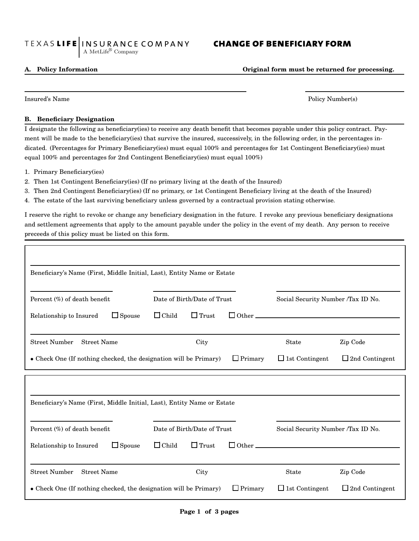## TEXAS LIFE INSURANCE COMPANY CHANGE OF BENEFICIARY FORM A MetLife<sup>®</sup> Company

A. Policy Information Original form must be returned for processing.

Insured's Name Policy Number(s)

## B. Beneficiary Designation

I designate the following as beneficiary(ies) to receive any death benefit that becomes payable under this policy contract. Payment will be made to the beneficiary(ies) that survive the insured, successively, in the following order, in the percentages indicated. (Percentages for Primary Beneficiary(ies) must equal 100% and percentages for 1st Contingent Beneficiary(ies) must equal 100% and percentages for 2nd Contingent Beneficiary(ies) must equal 100%)

- 1. Primary Beneficiary(ies)
- 2. Then 1st Contingent Beneficiary(ies) (If no primary living at the death of the Insured)
- 3. Then 2nd Contingent Beneficiary(ies) (If no primary, or 1st Contingent Beneficiary living at the death of the Insured)
- 4. The estate of the last surviving beneficiary unless governed by a contractual provision stating otherwise.

I reserve the right to revoke or change any beneficiary designation in the future. I revoke any previous beneficiary designations and settlement agreements that apply to the amount payable under the policy in the event of my death. Any person to receive preceeds of this policy must be listed on this form.

| Beneficiary's Name (First, Middle Initial, Last), Entity Name or Estate  |                                                     |                                    |                       |
|--------------------------------------------------------------------------|-----------------------------------------------------|------------------------------------|-----------------------|
| Percent $(\%)$ of death benefit                                          | Date of Birth/Date of Trust                         | Social Security Number /Tax ID No. |                       |
| $\Box$ Spouse<br>Relationship to Insured                                 | $\Box$ Child<br>$\Box$ Trust<br>$\Box$ Other $\Box$ |                                    |                       |
| <b>Street Number</b><br><b>Street Name</b>                               | City                                                | <b>State</b>                       | Zip Code              |
|                                                                          |                                                     |                                    |                       |
| • Check One (If nothing checked, the designation will be Primary)        | $\Box$ Primary                                      | $\Box$ 1st Contingent              | $\Box$ 2nd Contingent |
| Beneficiary's Name (First, Middle Initial, Last), Entity Name or Estate  |                                                     |                                    |                       |
|                                                                          | Date of Birth/Date of Trust                         | Social Security Number /Tax ID No. |                       |
| Percent (%) of death benefit<br>$\Box$ Spouse<br>Relationship to Insured | $\Box$ Child<br>$\Box$ Trust<br>$\Box$ Other $\Box$ |                                    |                       |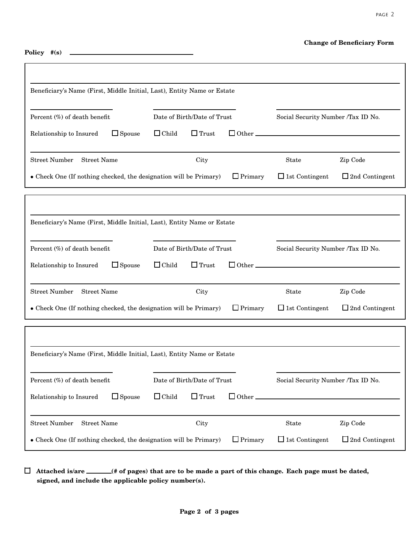## Change of Beneficiary Form

page 2

Policy #(s) \_

| Beneficiary's Name (First, Middle Initial, Last), Entity Name or Estate                                                               |                                                     |                                                |  |  |  |
|---------------------------------------------------------------------------------------------------------------------------------------|-----------------------------------------------------|------------------------------------------------|--|--|--|
| Percent (%) of death benefit                                                                                                          | Date of Birth/Date of Trust                         | Social Security Number /Tax ID No.             |  |  |  |
| $\Box$ Spouse<br>Relationship to Insured                                                                                              | $\Box$ Trust<br>$\Box$ Child                        |                                                |  |  |  |
| <b>Street Number</b><br><b>Street Name</b>                                                                                            | City                                                | Zip Code<br><b>State</b>                       |  |  |  |
| • Check One (If nothing checked, the designation will be Primary)                                                                     | $\Box$ Primary                                      | $\Box$ 1st Contingent<br>$\Box$ 2nd Contingent |  |  |  |
|                                                                                                                                       |                                                     |                                                |  |  |  |
| Beneficiary's Name (First, Middle Initial, Last), Entity Name or Estate                                                               |                                                     |                                                |  |  |  |
| Percent (%) of death benefit                                                                                                          | Date of Birth/Date of Trust                         | Social Security Number /Tax ID No.             |  |  |  |
| $\Box$ Spouse<br>Relationship to Insured                                                                                              | $\Box$ Trust<br>$\Box$ Child<br>$\Box$ Other $\Box$ |                                                |  |  |  |
| <b>Street Number</b><br><b>Street Name</b>                                                                                            | City                                                | Zip Code<br><b>State</b>                       |  |  |  |
| • Check One (If nothing checked, the designation will be Primary)                                                                     | $\Box$ Primary                                      | $\Box$ 1st Contingent<br>$\Box$ 2nd Contingent |  |  |  |
|                                                                                                                                       |                                                     |                                                |  |  |  |
| Beneficiary's Name (First, Middle Initial, Last), Entity Name or Estate                                                               |                                                     |                                                |  |  |  |
| Percent (%) of death benefit                                                                                                          | Date of Birth/Date of Trust                         | Social Security Number /Tax ID No.             |  |  |  |
| $\Box$ Spouse<br>Relationship to Insured                                                                                              | $\Box$ Child<br>$\Box$ Trust<br>$\Box$ Other.       |                                                |  |  |  |
| <b>Street Number</b><br><b>Street Name</b><br>City<br>State<br>Zip Code                                                               |                                                     |                                                |  |  |  |
| $\Box$ 1st Contingent<br>$\Box$ Primary<br>$\Box$ 2nd Contingent<br>• Check One (If nothing checked, the designation will be Primary) |                                                     |                                                |  |  |  |

 $\Box$  Attached is/are \_\_\_\_\_\_(# of pages) that are to be made a part of this change. Each page must be dated, signed, and include the applicable policy number(s).